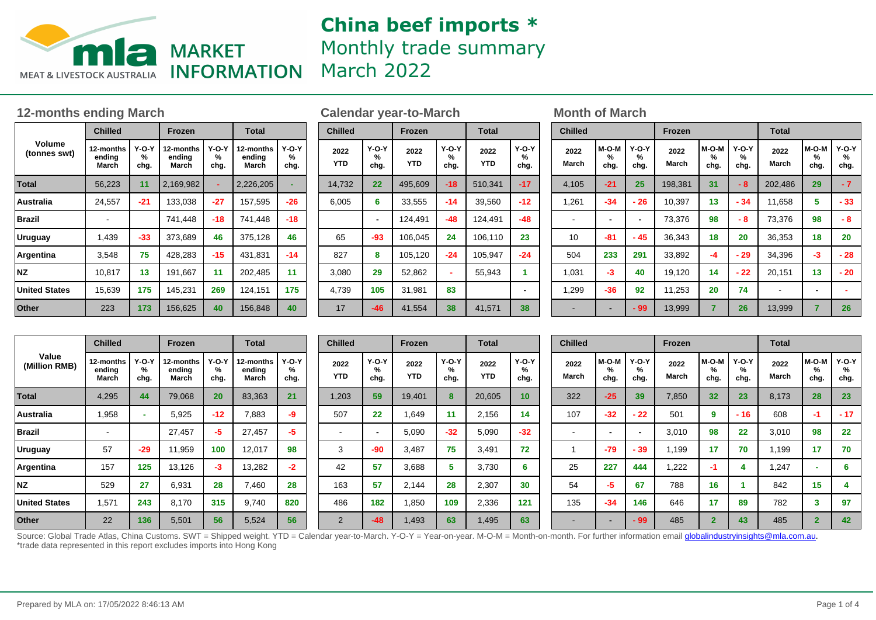

## **China beef imports \*** Monthly trade summary March 2022

### **12-months ending March Calendar year-to-March Month of March**

|                        | <b>Chilled</b>               |                      | Frozen                       |                      | <b>Total</b>                 |                      |  |  |
|------------------------|------------------------------|----------------------|------------------------------|----------------------|------------------------------|----------------------|--|--|
| Volume<br>(tonnes swt) | 12-months<br>ending<br>March | $Y-O-Y$<br>%<br>chg. | 12-months<br>ending<br>March | $Y-O-Y$<br>%<br>chg. | 12-months<br>ending<br>March | $Y-O-Y$<br>%<br>chg. |  |  |
| <b>Total</b>           | 56,223                       | 11                   | 2,169,982                    |                      | 2,226,205                    |                      |  |  |
| Australia              | 24,557                       | $-21$                | 133,038                      | -27                  | 157,595                      | $-26$                |  |  |
| <b>Brazil</b>          |                              |                      | 741,448                      | $-18$                | 741,448                      | -18                  |  |  |
| <b>Uruguay</b>         | 1,439                        | $-33$                | 373,689                      | 46                   | 375,128                      | 46                   |  |  |
| Argentina              | 3,548                        | 75                   | 428,283                      | -15                  | 431,831                      | -14                  |  |  |
| <b>NZ</b>              | 10,817                       | 13                   | 191,667                      | 11                   | 202,485                      | 11                   |  |  |
| <b>United States</b>   | 15,639                       | 175                  | 145,231                      | 269                  | 124,151                      | 175                  |  |  |
| Other                  | 223                          | 173                  | 156,625                      | 40                   | 156,848                      | 40                   |  |  |

| <b>Chilled</b>     |                    | <b>Frozen</b>                                   |       | <b>Total</b>       |                    |  |  |  |
|--------------------|--------------------|-------------------------------------------------|-------|--------------------|--------------------|--|--|--|
| 2022<br><b>YTD</b> | Y-O-Y<br>℅<br>chg. | <b>Y-O-Y</b><br>2022<br>%<br><b>YTD</b><br>chg. |       | 2022<br><b>YTD</b> | Y-O-Y<br>℅<br>chg. |  |  |  |
| 14,732             | 22                 | 495,609                                         | $-18$ | 510,341            | $-17$              |  |  |  |
| 6,005              | 6                  | 33,555                                          | -14   | 39,560             | $-12$              |  |  |  |
|                    |                    | 124,491                                         | -48   | 124,491            | -48                |  |  |  |
| 65                 | -93                | 106,045                                         | 24    | 106,110            | 23                 |  |  |  |
| 827                | 8                  | 105,120                                         | $-24$ | 105,947            | $-24$              |  |  |  |
| 3,080              | 29                 | 52,862                                          |       | 55,943             | 1                  |  |  |  |
| 4,739              | 105                | 31,981                                          | 83    |                    |                    |  |  |  |
| 17                 | $-46$              | 41,554                                          | 38    | 41,571             | 38                 |  |  |  |

| <b>Chilled</b> |                    |                           | <b>Frozen</b> |                    |                      | <b>Total</b>  |                    |                      |  |  |  |
|----------------|--------------------|---------------------------|---------------|--------------------|----------------------|---------------|--------------------|----------------------|--|--|--|
| 2022<br>March  | M-O-M<br>%<br>chg. | <b>Y-O-Y</b><br>℅<br>chg. | 2022<br>March | M-O-M<br>%<br>chg. | $Y-O-Y$<br>℅<br>chg. | 2022<br>March | M-O-M<br>%<br>chg. | $Y-O-Y$<br>℅<br>chg. |  |  |  |
| 4,105          | $-21$              | 25                        | 198,381       | 31                 | - 8                  | 202,486       | 29                 | $-7$                 |  |  |  |
| 1,261          | $-34$              | $-26$                     | 10,397        | 13                 | $-34$                | 11,658        | 5                  | - 33                 |  |  |  |
| $\blacksquare$ | -                  |                           | 73,376        | 98                 | - 8                  | 73,376        | 98                 | - 8                  |  |  |  |
| 10             | $-81$              | - 45                      | 36,343        | 18                 | 20                   | 36,353        | 18                 | 20                   |  |  |  |
| 504            | 233                | 291                       | 33,892        | -4                 | - 29                 | 34,396        | -3                 | - 28                 |  |  |  |
| 1,031          | -3                 | 40                        | 19,120        | 14                 | $-22$                | 20,151        | 13                 | - 20                 |  |  |  |
| 1,299          | -36                | 92                        | 11,253        | 20                 | 74                   |               |                    |                      |  |  |  |
|                |                    | - 99                      | 13,999        | 7                  | 26                   | 13,999        | 7                  | 26                   |  |  |  |

| Value<br>(Million RMB) | <b>Chilled</b>               |                      | Frozen                       |                      | <b>Total</b>                 |                    | <b>Chilled</b>     |                      | Frozen             |                           | <b>Total</b>       |                      | <b>Chilled</b> |                          |                      | Frozen        |                    |                           | <b>Total</b>  |                    |                         |
|------------------------|------------------------------|----------------------|------------------------------|----------------------|------------------------------|--------------------|--------------------|----------------------|--------------------|---------------------------|--------------------|----------------------|----------------|--------------------------|----------------------|---------------|--------------------|---------------------------|---------------|--------------------|-------------------------|
|                        | 12-months<br>ending<br>March | $Y-O-Y$<br>%<br>chg. | l2-months<br>ending<br>March | $Y-O-Y$<br>%<br>chg. | 12-months<br>ending<br>March | Y-O-Y<br>℅<br>chg. | 2022<br><b>YTD</b> | $Y-O-Y$<br>%<br>chg. | 2022<br><b>YTD</b> | <b>Y-O-Y</b><br>%<br>chg. | 2022<br><b>YTD</b> | $Y-O-Y$<br>%<br>chg. | 2022<br>March  | M-O-M<br>%<br>chg.       | $Y-O-Y$<br>%<br>chg. | 2022<br>March | M-O-M<br>%<br>chg. | <b>Y-O-Y</b><br>%<br>chg. | 2022<br>March | M-O-M<br>%<br>chg. | $Y-O-Y$<br>$\%$<br>chg. |
| <b>Total</b>           | 4,295                        | 44                   | 79,068                       | 20                   | 83,363                       | 21                 | 1,203              | 59                   | 19,401             | 8                         | 20,605             | 10 <sub>1</sub>      | 322            | $-25$                    | 39                   | 7,850         | 32                 | 23                        | 8,173         | 28                 | 23                      |
| <b>Australia</b>       | 1,958                        |                      | 5,925                        | $-12$                | 7,883                        | -9                 | 507                | 22                   | 1,649              | 11                        | 2,156              |                      | 107            | $-32$                    | 22                   | 501           |                    | $-16$                     | 608           |                    | $-17$                   |
| <b>Brazil</b>          | $\sim$                       |                      | 27,457                       | -5.                  | 27,457                       | -5                 |                    |                      | 5,090              | $-32$                     | 5,090              | $-32$                |                | $\overline{\phantom{0}}$ |                      | 3,010         | 98                 | 22                        | 3,010         | 98                 | 22                      |
| Uruguay                | 57                           | $-29$                | 11,959                       | 100                  | 12,017                       | 98                 | 3                  | -90                  | 3,487              | 75                        | 3,491              | 72                   |                | $-79$                    | $-39$                | 1,199         | -17                | 70                        | 1,199         | 17                 | 70                      |
| Argentina              | 157                          | 125                  | 13,126                       | $-3$                 | 13,282                       | -2                 | 42                 | 57                   | 3,688              | 5                         | 3,730              | D                    | 25             | 227                      | 444                  | 1,222         |                    |                           | 1,247         |                    | 6                       |
| <b>NZ</b>              | 529                          | 27                   | 6,931                        | 28                   | 7,460                        | 28                 | 163                | 57                   | 2,144              | 28                        | 2,307              | 30                   | 54             | -5                       | 67                   | 788           | 16                 |                           | 842           | 15                 |                         |
| <b>United States</b>   | 1,571                        | 243                  | 8,170                        | 315                  | 9,740                        | 820                | 486                | 182                  | 1,850              | 109                       | 2,336              | 121                  | 135            | $-34$                    | 146                  | 646           | 17                 | 89                        | 782           |                    | 97                      |
| <b>Other</b>           | 22                           | 136                  | 5,501                        | 56                   | 5,524                        | 56                 | $\Omega$           | $-48$                | 1,493              | 63                        | 1,495              | 63                   |                |                          | 99                   | 485           |                    | 43                        | 485           |                    | 42                      |

Source: Global Trade Atlas, China Customs. SWT = Shipped weight. YTD = Calendar year-to-March. Y-O-Y = Year-on-year. M-O-M = Month-on-month. For further information email **globalindustryinsights@mla.com.au.** \*trade data represented in this report excludes imports into Hong Kong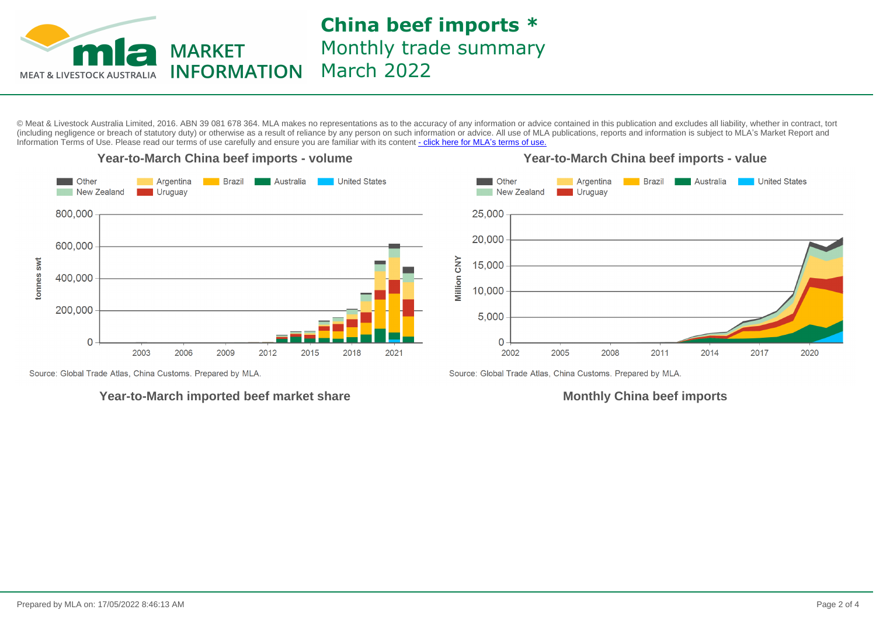

**China beef imports \*** Monthly trade summary March 2022

© Meat & Livestock Australia Limited, 2016. ABN 39 081 678 364. MLA makes no representations as to the accuracy of any information or advice contained in this publication and excludes all liability, whether in contract, tort (including negligence or breach of statutory duty) or otherwise as a result of reliance by any person on such information or advice. All use of MLA publications, reports and information is subject to MLA's Market Report an Information Terms of Use. Please read our terms of use carefully and ensure you are familiar with its content [- click here for MLA](http://www.mla.com.au/files/edae0364-a185-4a6f-9dff-a42700d1463a/MLA-Market-Report-and-Information-Terms-of-use-Dec-2014.pdf)'[s terms of use.](http://www.mla.com.au/files/edae0364-a185-4a6f-9dff-a42700d1463a/MLA-Market-Report-and-Information-Terms-of-use-Dec-2014.pdf)



Source: Global Trade Atlas, China Customs. Prepared by MLA.

### **Year-to-March imported beef market share**

**Monthly China beef imports**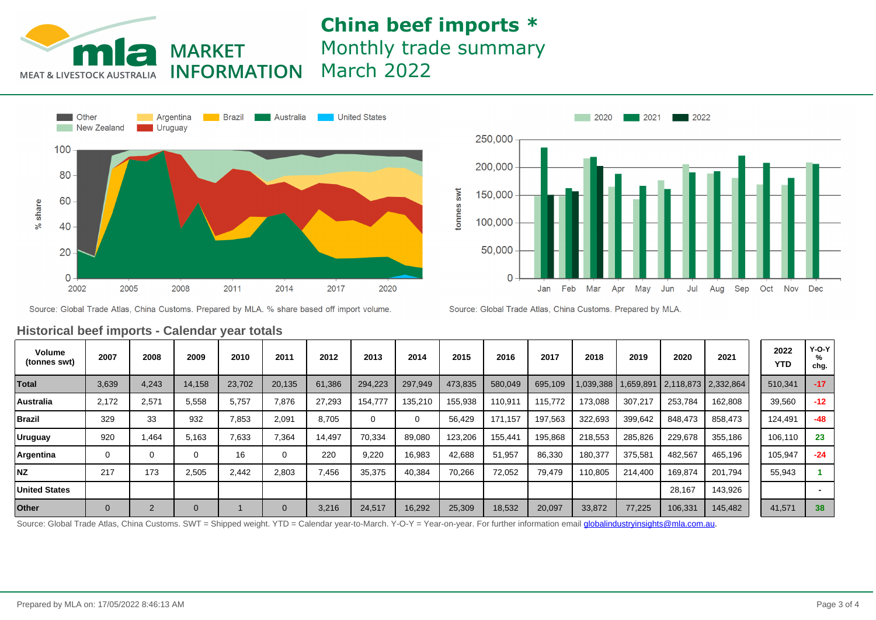## **China beef imports \*** Monthly trade summary March 2022





**MARKET** 





Source: Global Trade Atlas, China Customs. Prepared by MLA.

| <b>Volume</b><br>(tonnes swt) | 2007     | 2008           | 2009         | 2010   | 2011           | 2012   | 2013    | 2014    | 2015    | 2016                | 2017    | 2018    | 2019    | 2020                                          | 2021    | 2022<br><b>YTD</b> | $Y-O-Y$<br>%<br>chg. |
|-------------------------------|----------|----------------|--------------|--------|----------------|--------|---------|---------|---------|---------------------|---------|---------|---------|-----------------------------------------------|---------|--------------------|----------------------|
| <b>Total</b>                  | 3,639    | 4,243          | 14,158       | 23,702 | 20,135         | 61,386 | 294,223 | 297,949 | 473,835 | 580,049             | 695,109 |         |         | 1,039,388   1,659,891   2,118,873   2,332,864 |         | 510,341            | $-17$                |
| <b>Australia</b>              | 2.172    | 2,571          | 5,558        | 5,757  | 7,876          | 27,293 | 154,777 | 135,210 | 155,938 | 10,91               | 115,772 | 173,088 | 307,217 | 253,784                                       | 162,808 | 39,560             | $-12$                |
| <b>Brazil</b>                 | 329      | 33             | 932          | 7,853  | 2,091          | 8,705  |         | 0       | 56,429  | 171.157             | 197,563 | 322,693 | 399,642 | 848,473                                       | 858,473 | 124,491            | $-48$                |
| <b>Uruguay</b>                | 920      | 1,464          | 5,163        | 7,633  | 7,364          | 14,497 | 70,334  | 89,080  | 123,206 | 155.44 <sup>,</sup> | 195,868 | 218,553 | 285,826 | 229,678                                       | 355,186 | 106.110            | 23                   |
| Argentina                     | 0        | 0              |              | 16     | 0              | 220    | 9,220   | 16,983  | 42,688  | 51,957              | 86,330  | 180,377 | 375,581 | 482,567                                       | 465,196 | 105,947            | $-24$                |
| <b>NZ</b>                     | 217      | 173            | 2,505        | 2,442  | 2,803          | 7,456  | 35,375  | 40,384  | 70,266  | 72,052              | 79,479  | 110,805 | 214,400 | 169,874                                       | 201,794 | 55,943             |                      |
| <b>United States</b>          |          |                |              |        |                |        |         |         |         |                     |         |         |         | 28,167                                        | 143,926 |                    |                      |
| <b>Other</b>                  | $\Omega$ | $\overline{2}$ | $\mathbf{0}$ |        | $\overline{0}$ | 3,216  | 24,517  | 16,292  | 25,309  | 18,532              | 20,097  | 33,872  | 77,225  | 106,331                                       | 145,482 | 41,571             | 38                   |
|                               |          |                |              |        |                |        |         |         |         |                     |         |         |         |                                               |         |                    |                      |

#### **Historical beef imports - Calendar year totals**

Source: Global Trade Atlas, China Customs. SWT = Shipped weight. YTD = Calendar year-to-March. Y-O-Y = Year-on-year. For further information email *globalindustryinsights@mla.com.au.*